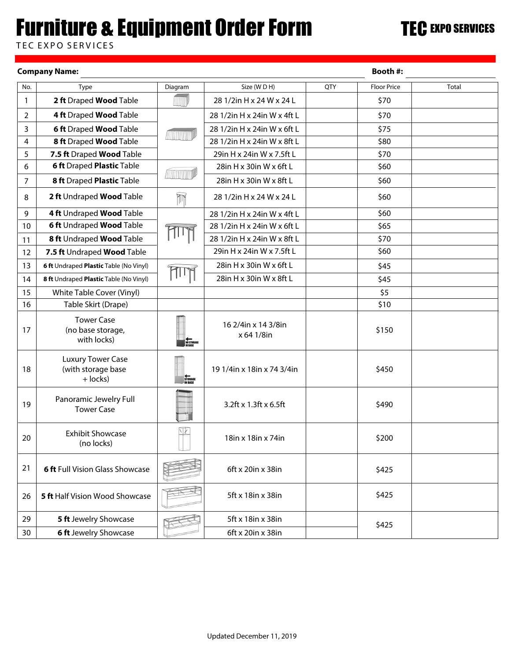## **Furniture & Equipment Order Form**

TEC EXPO SERVICES

|                | <b>Company Name:</b>                                         |                              | <b>Booth #:</b>                   |     |                    |       |
|----------------|--------------------------------------------------------------|------------------------------|-----------------------------------|-----|--------------------|-------|
| No.            | Type                                                         | Diagram                      | Size (WDH)                        | QTY | <b>Floor Price</b> | Total |
| 1              | 2 ft Draped Wood Table                                       |                              | 28 1/2in H x 24 W x 24 L          |     | \$70               |       |
| $\overline{2}$ | 4 ft Draped Wood Table                                       |                              | 28 1/2in H x 24in W x 4ft L       |     | \$70               |       |
| 3              | <b>6 ft Draped Wood Table</b>                                |                              | 28 1/2in H x 24in W x 6ft L       |     | \$75               |       |
| 4              | 8 ft Draped Wood Table                                       |                              | 28 1/2in H x 24in W x 8ft L       |     | \$80               |       |
| 5              | 7.5 ft Draped Wood Table                                     |                              | 29in H x 24in W x 7.5ft L         |     | \$70               |       |
| 6              | <b>6 ft Draped Plastic Table</b>                             |                              | 28in H x 30in W x 6ft L           |     | \$60               |       |
| 7              | 8 ft Draped Plastic Table                                    | John John                    | 28in H x 30in W x 8ft L           |     | \$60               |       |
| 8              | 2 ft Undraped Wood Table                                     | T                            | 28 1/2in H x 24 W x 24 L          |     | \$60               |       |
| 9              | 4 ft Undraped Wood Table                                     |                              | 28 1/2in H x 24in W x 4ft L       |     | \$60               |       |
| 10             | 6 ft Undraped Wood Table                                     |                              | 28 1/2in H x 24in W x 6ft L       |     | \$65               |       |
| 11             | 8 ft Undraped Wood Table                                     |                              | 28 1/2in H x 24in W x 8ft L       |     | \$70               |       |
| 12             | 7.5 ft Undraped Wood Table                                   |                              | 29in H x 24in W x 7.5ft L         |     | \$60               |       |
| 13             | 6 ft Undraped Plastic Table (No Vinyl)                       |                              | 28in H x 30in W x 6ft L           |     | \$45               |       |
| 14             | 8 ft Undraped Plastic Table (No Vinyl)                       | $\mathbb{T}$                 | 28in H x 30in W x 8ft L           |     | \$45               |       |
| 15             | White Table Cover (Vinyl)                                    |                              |                                   |     | \$5                |       |
| 16             | Table Skirt (Drape)                                          |                              |                                   |     | \$10               |       |
| 17             | <b>Tower Case</b><br>(no base storage,<br>with locks)        | <b>NO STORAGE</b><br>IN BASE | 16 2/4in x 14 3/8in<br>x 64 1/8in |     | \$150              |       |
| 18             | <b>Luxury Tower Case</b><br>(with storage base<br>$+$ locks) | STORAGE<br>IN BASE           | 19 1/4in x 18in x 74 3/4in        |     | \$450              |       |
| 19             | Panoramic Jewelry Full<br><b>Tower Case</b>                  |                              | 3.2ft x 1.3ft x 6.5ft             |     | \$490              |       |
| 20             | <b>Exhibit Showcase</b><br>(no locks)                        | $\sqrt{2}$                   | 18in x 18in x 74in                |     | \$200              |       |
| 21             | <b>6 ft Full Vision Glass Showcase</b>                       |                              | 6ft x 20in x 38in                 |     | \$425              |       |
| 26             | <b>5 ft Half Vision Wood Showcase</b>                        |                              | 5ft x 18in x 38in                 |     | \$425              |       |
| 29             | 5 ft Jewelry Showcase                                        |                              | 5ft x 18in x 38in                 |     | \$425              |       |
| 30             | <b>6 ft Jewelry Showcase</b>                                 |                              | 6ft x 20in x 38in                 |     |                    |       |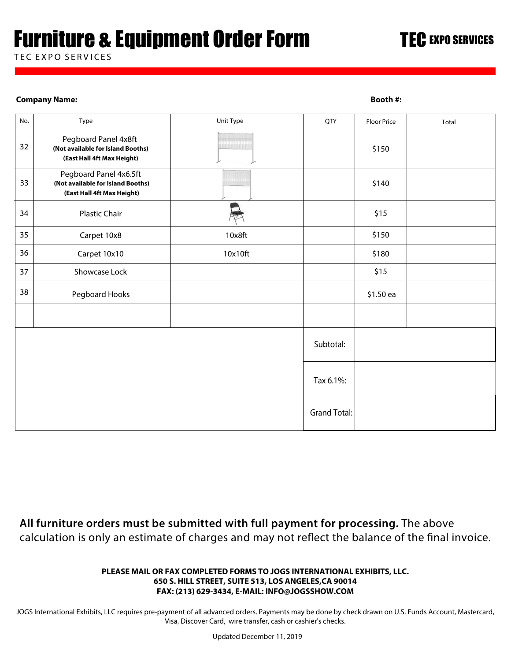# Furniture & Equipment Order Form

TEC EXPO SERVICES

#### Unit Type  $\overline{QTY}$  Floor Price  $\overline{QTY}$  Total Pegboard Panel 4x8ft **(Not available for Island Booths)** 34 Plastic Chair 33 32 35 Carpet 10x8 10x8ft 37 Showcase Lock 38 Subtotal: Pegboard Hooks The Communication of the Communication of the Communication of the Communication of the Communication of the Communication of the Communication of the Communication of the Communication of the Communication No. Type Floor Price \$150 \$140 \$15 \$150 \$15 **(East Hall 4ft Max Height)** 36 Carpet 10x10 Carpet 10x10 distribution of the contract of the contract of the contract of the contract of t Pegboard Panel 4x6.5ft **(Not available for Island Booths) (East Hall 4ft Max Height) Company Name: Booth #:**

Tax 6.1%:

Grand Total:

**All furniture orders must be submitted with full payment for processing.** The above calculation is only an estimate of charges and may not reflect the balance of the final invoice.

#### **PLEASE MAIL OR FAX COMPLETED FORMS TO JOGS INTERNATIONAL EXHIBITS, LLC. 650 S. HILL STREET, SUITE 513, LOS ANGELES,CA 90014 FAX: (213) 629-3434, E-MAIL: INFO@JOGSSHOW.COM**

JOGS International Exhibits, LLC requires pre-payment of all advanced orders. Payments may be done by check drawn on U.S. Funds Account, Mastercard, Visa, Discover Card, wire transfer, cash or cashier's checks.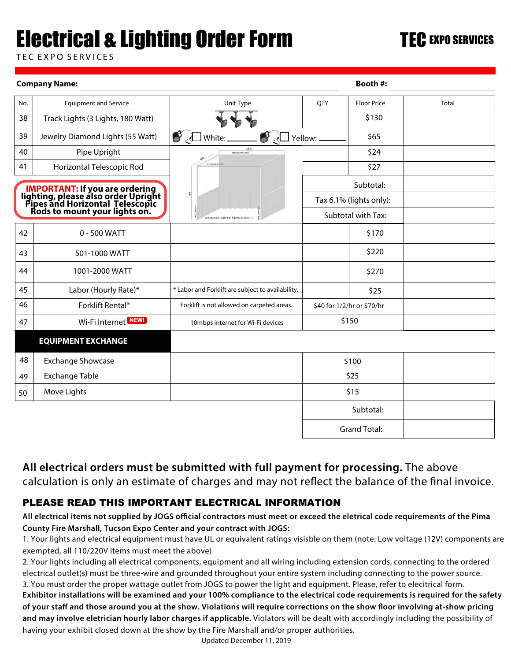# Electrical & Lighting Order Form

TEC EXPO SERVICES

|     | <b>Company Name:</b>                                                                                                                             | Booth #:                                          |                                      |                     |       |
|-----|--------------------------------------------------------------------------------------------------------------------------------------------------|---------------------------------------------------|--------------------------------------|---------------------|-------|
| No. | <b>Equipment and Service</b>                                                                                                                     | Unit Type                                         | <b>QTY</b>                           | <b>Floor Price</b>  | Total |
| 38  | Track Lights (3 Lights, 180 Watt)                                                                                                                |                                                   |                                      | \$130               |       |
| 39  | Jewelry Diamond Lights (55 Watt)                                                                                                                 | Ó<br>White:                                       | Yellow: _                            | \$65                |       |
| 40  | Pipe Upright                                                                                                                                     | 10 ft<br>TELESCOPIC ROD                           |                                      | \$24                |       |
| 41  | Horizontal Telescopic Rod                                                                                                                        | TELESCOPIC                                        |                                      | \$27                |       |
|     |                                                                                                                                                  | Ĕ                                                 | Subtotal:<br>Tax 6.1% (lights only): |                     |       |
|     | <b>IMPORTANT:</b> If you are ordering<br>lighting, please also order Upright<br>Pipes and Horizontal Telescopic<br>Rods to mount your lights on. |                                                   |                                      |                     |       |
|     |                                                                                                                                                  | STANDARD 10x8 PIPE & DRAPE BOOTH                  |                                      | Subtotal with Tax:  |       |
| 42  | $0 - 500$ WATT                                                                                                                                   |                                                   |                                      | \$170               |       |
| 43  | 501-1000 WATT                                                                                                                                    |                                                   |                                      | \$220               |       |
| 44  | 1001-2000 WATT                                                                                                                                   |                                                   |                                      | \$270               |       |
| 45  | Labor (Hourly Rate)*                                                                                                                             | * Labor and Forklift are subject to availability. |                                      | \$25                |       |
| 46  | Forklift Rental*                                                                                                                                 | Forklift is not allowed on carpeted areas.        | \$40 for 1/2/hr or \$70/hr           |                     |       |
| 47  | Wi-Fi Internet NEW!                                                                                                                              | 10mbps internet for Wi-Fi devices                 | \$150                                |                     |       |
|     | <b>EQUIPMENT EXCHANGE</b>                                                                                                                        |                                                   |                                      |                     |       |
| 48  | <b>Exchange Showcase</b>                                                                                                                         |                                                   |                                      | \$100               |       |
| 49  | <b>Exchange Table</b>                                                                                                                            |                                                   | \$25                                 |                     |       |
| 50  | Move Lights                                                                                                                                      |                                                   | \$15                                 |                     |       |
|     |                                                                                                                                                  |                                                   |                                      | Subtotal:           |       |
|     |                                                                                                                                                  |                                                   |                                      | <b>Grand Total:</b> |       |

## **All electrical orders must be submitted with full payment for processing.** The above calculation is only an estimate of charges and may not reflect the balance of the final invoice.

### PLEASE READ THIS IMPORTANT ELECTRICAL INFORMATION

All electrical items not supplied by JOGS official contractors must meet or exceed the eletrical code requirements of the Pima **County Fire Marshall, Tucson Expo Center and your contract with JOGS:**

1. Your lights and electrical equipment must have UL or equivalent ratings visisble on them (note: Low voltage (12V) components are exempted, all 110/220V items must meet the above)

2. Your lights including all electrical components, equipment and all wiring including extension cords, connecting to the ordered electrical outlet(s) must be three-wire and grounded throughout your entire system including connecting to the power source. 3. You must order the proper wattage outlet from JOGS to power the light and equipment. Please, refer to elecitrical form.

**Exhibitor installations will be examined and your 100% compliance to the electrical code requirements is required for the safety**  of your staff and those around you at the show. Violations will require corrections on the show floor involving at-show pricing **and may involve eletrician hourly labor charges if applicable.** Violators will be dealt with accordingly including the possibility of having your exhibit closed down at the show by the Fire Marshall and/or proper authorities.

Updated December 11, 2019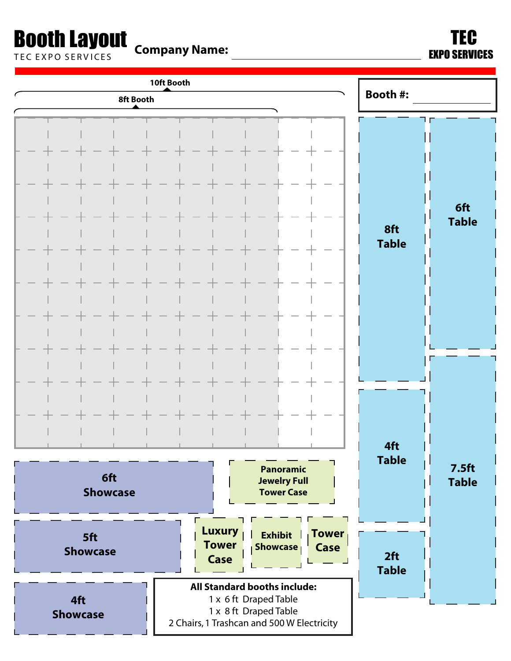# **Booth Layout** Company Name: The Company State of the Company Name:

T E C E X PO S E R V I CE S EXPO SERVICES

| 8ft Booth                                              | 10ft Booth                                                                                                                                                                                                                                                                                                             | <b>Booth #:</b>     |                                   |
|--------------------------------------------------------|------------------------------------------------------------------------------------------------------------------------------------------------------------------------------------------------------------------------------------------------------------------------------------------------------------------------|---------------------|-----------------------------------|
|                                                        |                                                                                                                                                                                                                                                                                                                        | 8ft<br><b>Table</b> | 6ft<br><b>Table</b>               |
| <b>Table</b><br>$\mathbb{R}$<br>6ft<br><b>Showcase</b> | <b>College</b><br><b>The Contract of the Contract of the Contract of the Contract of the Contract of the Contract of the Contract of the Contract of the Contract of the Contract of the Contract of the Contract of the Contract of the Contract </b><br><b>Panoramic</b><br><b>Jewelry Full</b><br><b>Tower Case</b> | 4ft<br><b>Table</b> | 7.5 <sub>ft</sub><br><b>Table</b> |
| 5ft<br><b>Showcase</b><br>4ft<br><b>Showcase</b>       | <b>Luxury</b><br><b>Tower</b><br><b>Exhibit</b><br><b>Tower</b><br><b>Showcase</b><br>Case<br>Case<br>All Standard booths include:<br>1 x 6 ft Draped Table<br>1 x 8 ft Draped Table<br>2 Chairs, 1 Trashcan and 500 W Electricity                                                                                     | 2ft<br><b>Table</b> |                                   |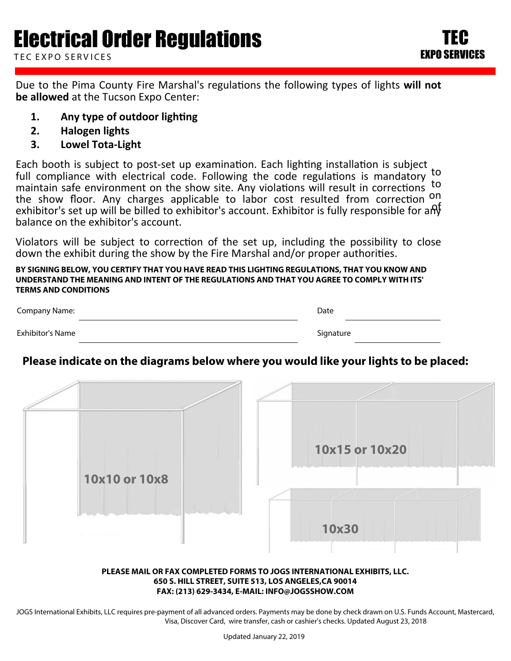Due to the Pima County Fire Marshal's regulations the following types of lights will not **be allowed** at the Tucson Expo Center:

- **1.** Any type of outdoor lighting
- **2. Halogen lights**
- **3. Lowel Tota-Light**

Each booth is subject to post-set up examination. Each lighting installation is subject to full compliance with electrical code. Following the code regulations is mandatory to maintain safe environment on the show site. Any violations will result in corrections to the show floor. Any charges applicable to labor cost resulted from correction <sup>on</sup> exhibitor's set up will be billed to exhibitor's account. Exhibitor is fully responsible for any balance on the exhibitor's account.

Violators will be subject to correction of the set up, including the possibility to close down the exhibit during the show by the Fire Marshal and/or proper authorities.

**BY SIGNING BELOW, YOU CERTIFY THAT YOU HAVE READ THIS LIGHTING REGULATIONS, THAT YOU KNOW AND UNDERSTAND THE MEANING AND INTENT OF THE REGULATIONS AND THAT YOU AGREE TO COMPLY WITH ITS' TERMS AND CONDITIONS**

| <b>Company Name:</b> | Date      |
|----------------------|-----------|
| Exhibitor's Name     | Signature |

### **Please indicate on the diagrams below where you would like your lights to be placed:**



#### **PLEASE MAIL OR FAX COMPLETED FORMS TO JOGS INTERNATIONAL EXHIBITS, LLC. 650 S. HILL STREET, SUITE 513, LOS ANGELES,CA 90014 FAX: (213) 629-3434, E-MAIL: INFO@JOGSSHOW.COM**

JOGS International Exhibits, LLC requires pre-payment of all advanced orders. Payments may be done by check drawn on U.S. Funds Account, Mastercard, Visa, Discover Card, wire transfer, cash or cashier's checks. Updated August 23, 2018